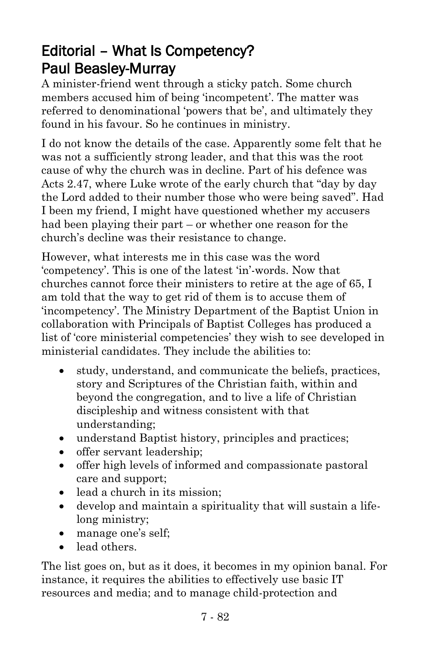## Editorial – What Is Competency? Paul Beasley-Murray

A minister-friend went through a sticky patch. Some church members accused him of being 'incompetent'. The matter was referred to denominational 'powers that be', and ultimately they found in his favour. So he continues in ministry.

I do not know the details of the case. Apparently some felt that he was not a sufficiently strong leader, and that this was the root cause of why the church was in decline. Part of his defence was Acts 2.47, where Luke wrote of the early church that "day by day the Lord added to their number those who were being saved". Had I been my friend, I might have questioned whether my accusers had been playing their part – or whether one reason for the church's decline was their resistance to change.

However, what interests me in this case was the word 'competency'. This is one of the latest 'in'-words. Now that churches cannot force their ministers to retire at the age of 65, I am told that the way to get rid of them is to accuse them of 'incompetency'. The Ministry Department of the Baptist Union in collaboration with Principals of Baptist Colleges has produced a list of 'core ministerial competencies' they wish to see developed in ministerial candidates. They include the abilities to:

- study, understand, and communicate the beliefs, practices, story and Scriptures of the Christian faith, within and beyond the congregation, and to live a life of Christian discipleship and witness consistent with that understanding;
- understand Baptist history, principles and practices;
- offer servant leadership;
- offer high levels of informed and compassionate pastoral care and support;
- lead a church in its mission:
- develop and maintain a spirituality that will sustain a lifelong ministry;
- manage one's self;
- lead others

The list goes on, but as it does, it becomes in my opinion banal. For instance, it requires the abilities to effectively use basic IT resources and media; and to manage child-protection and